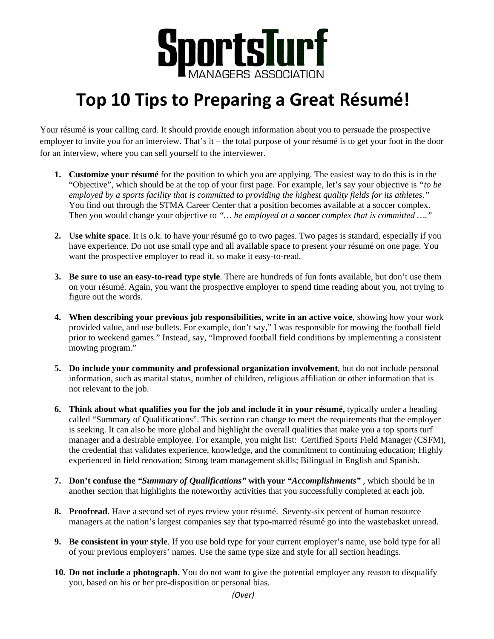

## **Top 10 Tips to Preparing a Great Résumé!**

Your résumé is your calling card. It should provide enough information about you to persuade the prospective employer to invite you for an interview. That's it – the total purpose of your résumé is to get your foot in the door for an interview, where you can sell yourself to the interviewer.

- **1. Customize your résumé** for the position to which you are applying. The easiest way to do this is in the "Objective", which should be at the top of your first page. For example, let's say your objective is *"to be employed by a sports facility that is committed to providing the highest quality fields for its athletes."* You find out through the STMA Career Center that a position becomes available at a soccer complex. Then you would change your objective to *"… be employed at a soccer complex that is committed …."*
- **2. Use white space**. It is o.k. to have your résumé go to two pages. Two pages is standard, especially if you have experience. Do not use small type and all available space to present your résumé on one page. You want the prospective employer to read it, so make it easy-to-read.
- **3. Be sure to use an easy-to-read type style**. There are hundreds of fun fonts available, but don't use them on your résumé. Again, you want the prospective employer to spend time reading about you, not trying to figure out the words.
- **4. When describing your previous job responsibilities, write in an active voice**, showing how your work provided value, and use bullets. For example, don't say," I was responsible for mowing the football field prior to weekend games." Instead, say, "Improved football field conditions by implementing a consistent mowing program."
- **5. Do include your community and professional organization involvement**, but do not include personal information, such as marital status, number of children, religious affiliation or other information that is not relevant to the job.
- **6. Think about what qualifies you for the job and include it in your résumé,** typically under a heading called "Summary of Qualifications". This section can change to meet the requirements that the employer is seeking. It can also be more global and highlight the overall qualities that make you a top sports turf manager and a desirable employee. For example, you might list: Certified Sports Field Manager (CSFM), the credential that validates experience, knowledge, and the commitment to continuing education; Highly experienced in field renovation; Strong team management skills; Bilingual in English and Spanish.
- **7. Don't confuse the** *"Summary of Qualifications"* **with your** *"Accomplishments"* , which should be in another section that highlights the noteworthy activities that you successfully completed at each job.
- **8. Proofread**. Have a second set of eyes review your résumé. Seventy-six percent of human resource managers at the nation's largest companies say that typo-marred résumé go into the wastebasket unread.
- **9. Be consistent in your style**. If you use bold type for your current employer's name, use bold type for all of your previous employers' names. Use the same type size and style for all section headings.
- **10. Do not include a photograph**. You do not want to give the potential employer any reason to disqualify you, based on his or her pre-disposition or personal bias.